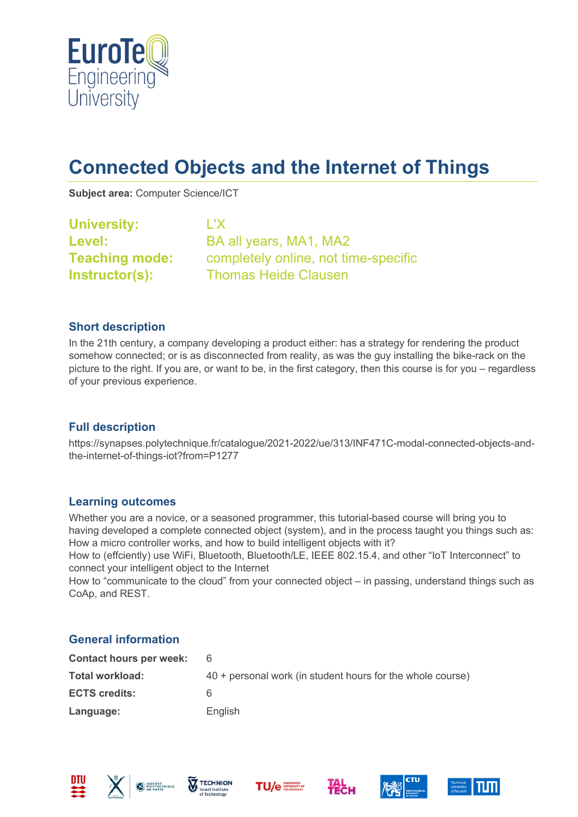

# **Connected Objects and the Internet of Things**

**Subject area:** Computer Science/ICT

| <b>University:</b>    | L'X                                  |
|-----------------------|--------------------------------------|
| <b>Level:</b>         | BA all years, MA1, MA2               |
| <b>Teaching mode:</b> | completely online, not time-specific |
| Instructor(s):        | <b>Thomas Heide Clausen</b>          |

# **Short description**

In the 21th century, a company developing a product either: has a strategy for rendering the product somehow connected; or is as disconnected from reality, as was the guy installing the bike-rack on the picture to the right. If you are, or want to be, in the first category, then this course is for you – regardless of your previous experience.

# **Full description**

https://synapses.polytechnique.fr/catalogue/2021-2022/ue/313/INF471C-modal-connected-objects-andthe-internet-of-things-iot?from=P1277

#### **Learning outcomes**

Whether you are a novice, or a seasoned programmer, this tutorial-based course will bring you to having developed a complete connected object (system), and in the process taught you things such as: How a micro controller works, and how to build intelligent objects with it?

How to (effciently) use WiFi, Bluetooth, Bluetooth/LE, IEEE 802.15.4, and other "IoT Interconnect" to connect your intelligent object to the Internet

How to "communicate to the cloud" from your connected object – in passing, understand things such as CoAp, and REST.

# **General information**

| 40 + personal work (in student hours for the whole course) |
|------------------------------------------------------------|
| 6                                                          |
| English                                                    |
|                                                            |











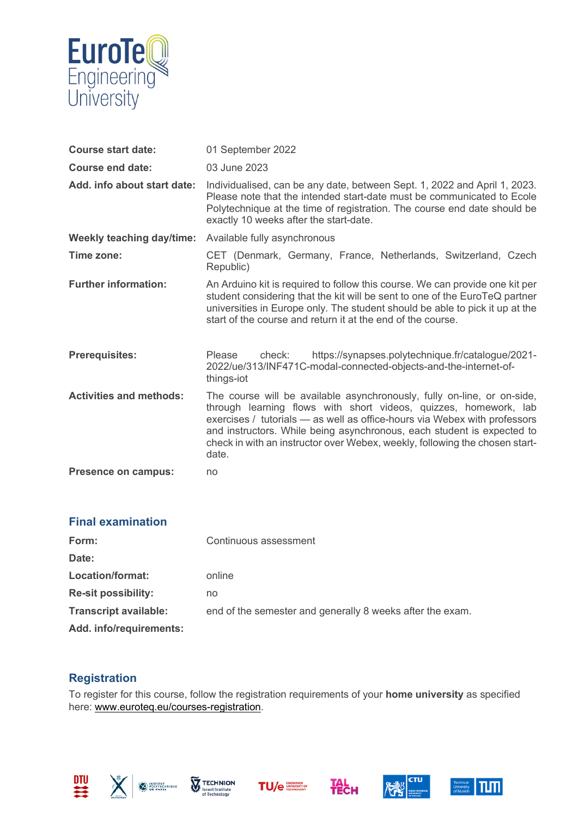

| <b>Course start date:</b>        | 01 September 2022                                                                                                                                                                                                                                                                                                                                                                          |
|----------------------------------|--------------------------------------------------------------------------------------------------------------------------------------------------------------------------------------------------------------------------------------------------------------------------------------------------------------------------------------------------------------------------------------------|
| Course end date:                 | 03 June 2023                                                                                                                                                                                                                                                                                                                                                                               |
| Add. info about start date:      | Individualised, can be any date, between Sept. 1, 2022 and April 1, 2023.<br>Please note that the intended start-date must be communicated to Ecole<br>Polytechnique at the time of registration. The course end date should be<br>exactly 10 weeks after the start-date.                                                                                                                  |
| <b>Weekly teaching day/time:</b> | Available fully asynchronous                                                                                                                                                                                                                                                                                                                                                               |
| Time zone:                       | CET (Denmark, Germany, France, Netherlands, Switzerland, Czech<br>Republic)                                                                                                                                                                                                                                                                                                                |
| <b>Further information:</b>      | An Arduino kit is required to follow this course. We can provide one kit per<br>student considering that the kit will be sent to one of the EuroTeQ partner<br>universities in Europe only. The student should be able to pick it up at the<br>start of the course and return it at the end of the course.                                                                                 |
| <b>Prerequisites:</b>            | https://synapses.polytechnique.fr/catalogue/2021-<br>Please<br>check:<br>2022/ue/313/INF471C-modal-connected-objects-and-the-internet-of-<br>things-iot                                                                                                                                                                                                                                    |
| <b>Activities and methods:</b>   | The course will be available asynchronously, fully on-line, or on-side,<br>through learning flows with short videos, quizzes, homework, lab<br>exercises / tutorials - as well as office-hours via Webex with professors<br>and instructors. While being asynchronous, each student is expected to<br>check in with an instructor over Webex, weekly, following the chosen start-<br>date. |
| <b>Presence on campus:</b>       | no                                                                                                                                                                                                                                                                                                                                                                                         |

| <b>Final examination</b>     |                                                           |
|------------------------------|-----------------------------------------------------------|
| Form:                        | Continuous assessment                                     |
| Date:                        |                                                           |
| Location/format:             | online                                                    |
| <b>Re-sit possibility:</b>   | no                                                        |
| <b>Transcript available:</b> | end of the semester and generally 8 weeks after the exam. |
| Add. info/requirements:      |                                                           |

# **Registration**

To register for this course, follow the registration requirements of your **home university** as specified here: [www.euroteq.eu/courses-registration.](http://www.euroteq.eu/courses-registration)